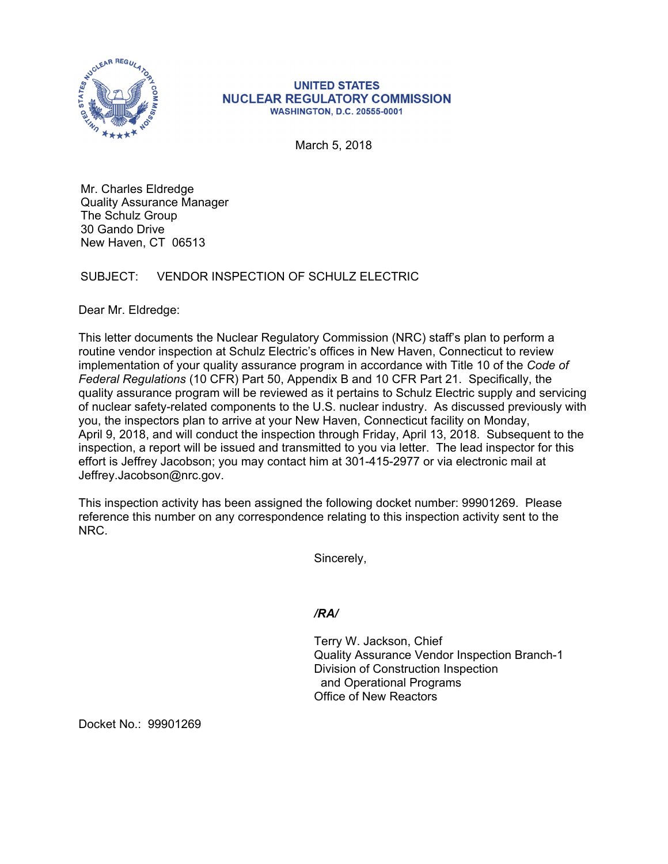

## **UNITED STATES NUCLEAR REGULATORY COMMISSION WASHINGTON, D.C. 20555-0001**

March 5, 2018

Mr. Charles Eldredge Quality Assurance Manager The Schulz Group 30 Gando Drive New Haven, CT 06513

## SUBJECT: VENDOR INSPECTION OF SCHULZ ELECTRIC

Dear Mr. Eldredge:

This letter documents the Nuclear Regulatory Commission (NRC) staff's plan to perform a routine vendor inspection at Schulz Electric's offices in New Haven, Connecticut to review implementation of your quality assurance program in accordance with Title 10 of the *Code of Federal Regulations* (10 CFR) Part 50, Appendix B and 10 CFR Part 21. Specifically, the quality assurance program will be reviewed as it pertains to Schulz Electric supply and servicing of nuclear safety-related components to the U.S. nuclear industry. As discussed previously with you, the inspectors plan to arrive at your New Haven, Connecticut facility on Monday, April 9, 2018, and will conduct the inspection through Friday, April 13, 2018. Subsequent to the inspection, a report will be issued and transmitted to you via letter. The lead inspector for this effort is Jeffrey Jacobson; you may contact him at 301-415-2977 or via electronic mail at Jeffrey.Jacobson@nrc.gov.

This inspection activity has been assigned the following docket number: 99901269. Please reference this number on any correspondence relating to this inspection activity sent to the NRC.

Sincerely,

## */RA/*

Terry W. Jackson, Chief Quality Assurance Vendor Inspection Branch-1 Division of Construction Inspection and Operational Programs Office of New Reactors

Docket No.: 99901269